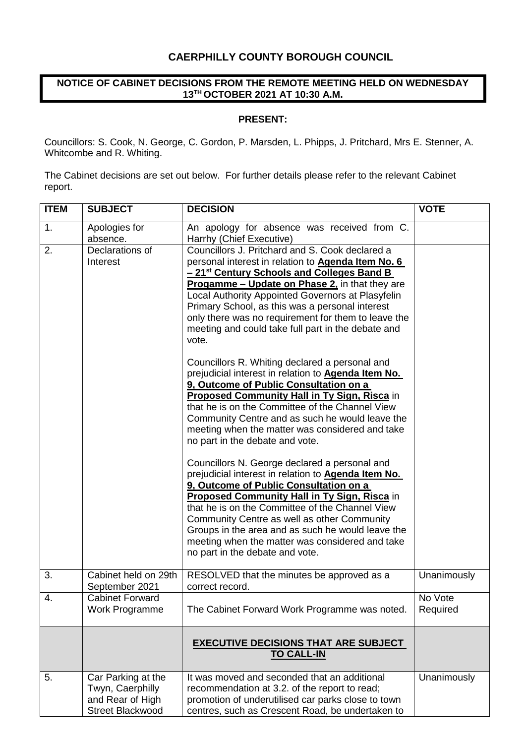### **CAERPHILLY COUNTY BOROUGH COUNCIL**

### **NOTICE OF CABINET DECISIONS FROM THE REMOTE MEETING HELD ON WEDNESDAY 13TH OCTOBER 2021 AT 10:30 A.M.**

#### **PRESENT:**

Councillors: S. Cook, N. George, C. Gordon, P. Marsden, L. Phipps, J. Pritchard, Mrs E. Stenner, A. Whitcombe and R. Whiting.

The Cabinet decisions are set out below. For further details please refer to the relevant Cabinet report.

| <b>ITEM</b> | <b>SUBJECT</b>                                                                        | <b>DECISION</b>                                                                                                                                                                                                                                                                                                                                                                                                                                               | <b>VOTE</b>         |
|-------------|---------------------------------------------------------------------------------------|---------------------------------------------------------------------------------------------------------------------------------------------------------------------------------------------------------------------------------------------------------------------------------------------------------------------------------------------------------------------------------------------------------------------------------------------------------------|---------------------|
| 1.          | Apologies for<br>absence.                                                             | An apology for absence was received from C.<br>Harrhy (Chief Executive)                                                                                                                                                                                                                                                                                                                                                                                       |                     |
| 2.          | Declarations of<br>Interest                                                           | Councillors J. Pritchard and S. Cook declared a<br>personal interest in relation to <b>Agenda Item No. 6</b><br>- 21 <sup>st</sup> Century Schools and Colleges Band B<br><b>Progamme – Update on Phase 2, in that they are</b><br>Local Authority Appointed Governors at Plasyfelin<br>Primary School, as this was a personal interest<br>only there was no requirement for them to leave the<br>meeting and could take full part in the debate and<br>vote. |                     |
|             |                                                                                       | Councillors R. Whiting declared a personal and<br>prejudicial interest in relation to <b>Agenda Item No.</b><br>9, Outcome of Public Consultation on a<br><b>Proposed Community Hall in Ty Sign, Risca in</b><br>that he is on the Committee of the Channel View<br>Community Centre and as such he would leave the<br>meeting when the matter was considered and take<br>no part in the debate and vote.                                                     |                     |
|             |                                                                                       | Councillors N. George declared a personal and<br>prejudicial interest in relation to <b>Agenda Item No.</b><br>9, Outcome of Public Consultation on a<br><b>Proposed Community Hall in Ty Sign, Risca in</b><br>that he is on the Committee of the Channel View<br>Community Centre as well as other Community<br>Groups in the area and as such he would leave the<br>meeting when the matter was considered and take<br>no part in the debate and vote.     |                     |
| 3.          | Cabinet held on 29th<br>September 2021                                                | RESOLVED that the minutes be approved as a<br>correct record.                                                                                                                                                                                                                                                                                                                                                                                                 | Unanimously         |
| 4.          | <b>Cabinet Forward</b><br>Work Programme                                              | The Cabinet Forward Work Programme was noted.                                                                                                                                                                                                                                                                                                                                                                                                                 | No Vote<br>Required |
|             |                                                                                       | <b>EXECUTIVE DECISIONS THAT ARE SUBJECT</b><br><b>TO CALL-IN</b>                                                                                                                                                                                                                                                                                                                                                                                              |                     |
| 5.          | Car Parking at the<br>Twyn, Caerphilly<br>and Rear of High<br><b>Street Blackwood</b> | It was moved and seconded that an additional<br>recommendation at 3.2. of the report to read;<br>promotion of underutilised car parks close to town<br>centres, such as Crescent Road, be undertaken to                                                                                                                                                                                                                                                       | Unanimously         |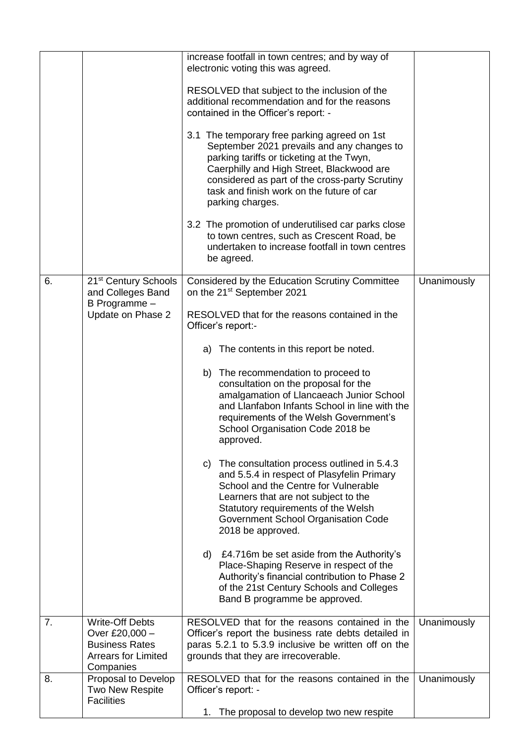|    |                                                                                                              | increase footfall in town centres; and by way of<br>electronic voting this was agreed.                                                                                                                                                                                                                  |             |
|----|--------------------------------------------------------------------------------------------------------------|---------------------------------------------------------------------------------------------------------------------------------------------------------------------------------------------------------------------------------------------------------------------------------------------------------|-------------|
|    |                                                                                                              | RESOLVED that subject to the inclusion of the<br>additional recommendation and for the reasons<br>contained in the Officer's report: -                                                                                                                                                                  |             |
|    |                                                                                                              | 3.1 The temporary free parking agreed on 1st<br>September 2021 prevails and any changes to<br>parking tariffs or ticketing at the Twyn,<br>Caerphilly and High Street, Blackwood are<br>considered as part of the cross-party Scrutiny<br>task and finish work on the future of car<br>parking charges. |             |
|    |                                                                                                              | 3.2 The promotion of underutilised car parks close<br>to town centres, such as Crescent Road, be<br>undertaken to increase footfall in town centres<br>be agreed.                                                                                                                                       |             |
| 6. | 21 <sup>st</sup> Century Schools<br>and Colleges Band                                                        | Considered by the Education Scrutiny Committee<br>on the 21 <sup>st</sup> September 2021                                                                                                                                                                                                                | Unanimously |
|    | B Programme -<br>Update on Phase 2                                                                           | RESOLVED that for the reasons contained in the<br>Officer's report:-                                                                                                                                                                                                                                    |             |
|    |                                                                                                              | a) The contents in this report be noted.                                                                                                                                                                                                                                                                |             |
|    |                                                                                                              | b) The recommendation to proceed to<br>consultation on the proposal for the<br>amalgamation of Llancaeach Junior School<br>and Llanfabon Infants School in line with the<br>requirements of the Welsh Government's<br>School Organisation Code 2018 be<br>approved.                                     |             |
|    |                                                                                                              | c) The consultation process outlined in 5.4.3<br>and 5.5.4 in respect of Plasyfelin Primary<br>School and the Centre for Vulnerable<br>Learners that are not subject to the<br>Statutory requirements of the Welsh<br>Government School Organisation Code<br>2018 be approved.                          |             |
|    |                                                                                                              | d) £4.716m be set aside from the Authority's<br>Place-Shaping Reserve in respect of the<br>Authority's financial contribution to Phase 2<br>of the 21st Century Schools and Colleges<br>Band B programme be approved.                                                                                   |             |
| 7. | <b>Write-Off Debts</b><br>Over £20,000 -<br><b>Business Rates</b><br><b>Arrears for Limited</b><br>Companies | RESOLVED that for the reasons contained in the<br>Officer's report the business rate debts detailed in<br>paras 5.2.1 to 5.3.9 inclusive be written off on the<br>grounds that they are irrecoverable.                                                                                                  | Unanimously |
| 8. | Proposal to Develop<br>Two New Respite<br><b>Facilities</b>                                                  | RESOLVED that for the reasons contained in the<br>Officer's report: -<br>1. The proposal to develop two new respite                                                                                                                                                                                     | Unanimously |
|    |                                                                                                              |                                                                                                                                                                                                                                                                                                         |             |